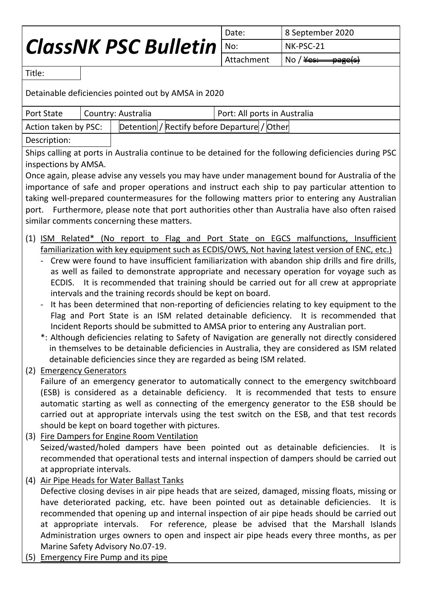## *ClassNK PSC Bulletin*

Date: 8 September 2020 No: NK-PSC-21 Attachment  $\vert$  No / <del>Yes: page(s)</del>

Title:

Detainable deficiencies pointed out by AMSA in 2020

| Port State                                                                                                                                                                                                                                                                                                                                                                                                                                                                                                                                                                                                                                                                                                                                                                                                                                                                                                                                                                                                                                                                                                                                   |                                                                                                                               | Country: Australia | Port: All ports in Australia |  |
|----------------------------------------------------------------------------------------------------------------------------------------------------------------------------------------------------------------------------------------------------------------------------------------------------------------------------------------------------------------------------------------------------------------------------------------------------------------------------------------------------------------------------------------------------------------------------------------------------------------------------------------------------------------------------------------------------------------------------------------------------------------------------------------------------------------------------------------------------------------------------------------------------------------------------------------------------------------------------------------------------------------------------------------------------------------------------------------------------------------------------------------------|-------------------------------------------------------------------------------------------------------------------------------|--------------------|------------------------------|--|
| Detention / Rectify before Departure / Other<br>Action taken by PSC:                                                                                                                                                                                                                                                                                                                                                                                                                                                                                                                                                                                                                                                                                                                                                                                                                                                                                                                                                                                                                                                                         |                                                                                                                               |                    |                              |  |
| Description:                                                                                                                                                                                                                                                                                                                                                                                                                                                                                                                                                                                                                                                                                                                                                                                                                                                                                                                                                                                                                                                                                                                                 |                                                                                                                               |                    |                              |  |
| Ships calling at ports in Australia continue to be detained for the following deficiencies during PSC                                                                                                                                                                                                                                                                                                                                                                                                                                                                                                                                                                                                                                                                                                                                                                                                                                                                                                                                                                                                                                        |                                                                                                                               |                    |                              |  |
| inspections by AMSA.                                                                                                                                                                                                                                                                                                                                                                                                                                                                                                                                                                                                                                                                                                                                                                                                                                                                                                                                                                                                                                                                                                                         |                                                                                                                               |                    |                              |  |
| Once again, please advise any vessels you may have under management bound for Australia of the                                                                                                                                                                                                                                                                                                                                                                                                                                                                                                                                                                                                                                                                                                                                                                                                                                                                                                                                                                                                                                               |                                                                                                                               |                    |                              |  |
| importance of safe and proper operations and instruct each ship to pay particular attention to                                                                                                                                                                                                                                                                                                                                                                                                                                                                                                                                                                                                                                                                                                                                                                                                                                                                                                                                                                                                                                               |                                                                                                                               |                    |                              |  |
| taking well-prepared countermeasures for the following matters prior to entering any Australian                                                                                                                                                                                                                                                                                                                                                                                                                                                                                                                                                                                                                                                                                                                                                                                                                                                                                                                                                                                                                                              |                                                                                                                               |                    |                              |  |
| port. Furthermore, please note that port authorities other than Australia have also often raised                                                                                                                                                                                                                                                                                                                                                                                                                                                                                                                                                                                                                                                                                                                                                                                                                                                                                                                                                                                                                                             |                                                                                                                               |                    |                              |  |
| similar comments concerning these matters.                                                                                                                                                                                                                                                                                                                                                                                                                                                                                                                                                                                                                                                                                                                                                                                                                                                                                                                                                                                                                                                                                                   |                                                                                                                               |                    |                              |  |
| (1) ISM Related* (No report to Flag and Port State on EGCS malfunctions, Insufficient<br>familiarization with key equipment such as ECDIS/OWS, Not having latest version of ENC, etc.)<br>Crew were found to have insufficient familiarization with abandon ship drills and fire drills,<br>as well as failed to demonstrate appropriate and necessary operation for voyage such as<br>ECDIS. It is recommended that training should be carried out for all crew at appropriate<br>intervals and the training records should be kept on board.<br>It has been determined that non-reporting of deficiencies relating to key equipment to the<br>Flag and Port State is an ISM related detainable deficiency. It is recommended that<br>Incident Reports should be submitted to AMSA prior to entering any Australian port.<br>*: Although deficiencies relating to Safety of Navigation are generally not directly considered<br>in themselves to be detainable deficiencies in Australia, they are considered as ISM related<br>detainable deficiencies since they are regarded as being ISM related.<br><b>Emergency Generators</b><br>(2) |                                                                                                                               |                    |                              |  |
| Failure of an emergency generator to automatically connect to the emergency switchboard                                                                                                                                                                                                                                                                                                                                                                                                                                                                                                                                                                                                                                                                                                                                                                                                                                                                                                                                                                                                                                                      |                                                                                                                               |                    |                              |  |
| (ESB) is considered as a detainable deficiency. It is recommended that tests to ensure<br>automatic starting as well as connecting of the emergency generator to the ESB should be<br>carried out at appropriate intervals using the test switch on the ESB, and that test records<br>should be kept on board together with pictures.                                                                                                                                                                                                                                                                                                                                                                                                                                                                                                                                                                                                                                                                                                                                                                                                        |                                                                                                                               |                    |                              |  |
| (3) Fire Dampers for Engine Room Ventilation                                                                                                                                                                                                                                                                                                                                                                                                                                                                                                                                                                                                                                                                                                                                                                                                                                                                                                                                                                                                                                                                                                 |                                                                                                                               |                    |                              |  |
| Seized/wasted/holed dampers have been pointed out as detainable deficiencies.<br>It is                                                                                                                                                                                                                                                                                                                                                                                                                                                                                                                                                                                                                                                                                                                                                                                                                                                                                                                                                                                                                                                       |                                                                                                                               |                    |                              |  |
| recommended that operational tests and internal inspection of dampers should be carried out                                                                                                                                                                                                                                                                                                                                                                                                                                                                                                                                                                                                                                                                                                                                                                                                                                                                                                                                                                                                                                                  |                                                                                                                               |                    |                              |  |
| at appropriate intervals.                                                                                                                                                                                                                                                                                                                                                                                                                                                                                                                                                                                                                                                                                                                                                                                                                                                                                                                                                                                                                                                                                                                    |                                                                                                                               |                    |                              |  |
| Air Pipe Heads for Water Ballast Tanks<br>(4)                                                                                                                                                                                                                                                                                                                                                                                                                                                                                                                                                                                                                                                                                                                                                                                                                                                                                                                                                                                                                                                                                                |                                                                                                                               |                    |                              |  |
| Defective closing devises in air pipe heads that are seized, damaged, missing floats, missing or<br>It is                                                                                                                                                                                                                                                                                                                                                                                                                                                                                                                                                                                                                                                                                                                                                                                                                                                                                                                                                                                                                                    |                                                                                                                               |                    |                              |  |
| have deteriorated packing, etc. have been pointed out as detainable deficiencies.<br>recommended that opening up and internal inspection of air pipe heads should be carried out                                                                                                                                                                                                                                                                                                                                                                                                                                                                                                                                                                                                                                                                                                                                                                                                                                                                                                                                                             |                                                                                                                               |                    |                              |  |
| at appropriate intervals. For reference, please be advised that the Marshall Islands                                                                                                                                                                                                                                                                                                                                                                                                                                                                                                                                                                                                                                                                                                                                                                                                                                                                                                                                                                                                                                                         |                                                                                                                               |                    |                              |  |
|                                                                                                                                                                                                                                                                                                                                                                                                                                                                                                                                                                                                                                                                                                                                                                                                                                                                                                                                                                                                                                                                                                                                              | Administration urges owners to open and inspect air pipe heads every three months, as per<br>Marine Safety Advisory No.07-19. |                    |                              |  |

(5) Emergency Fire Pump and its pipe